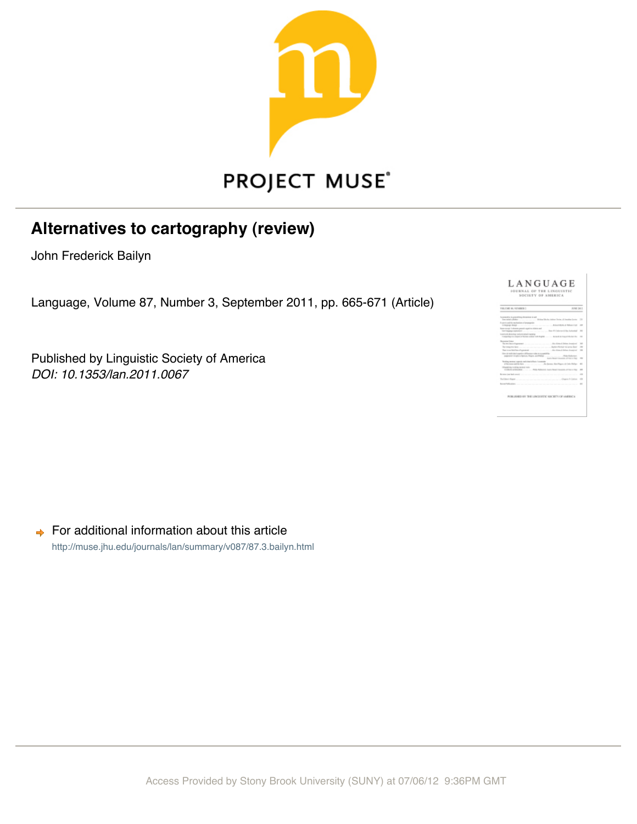

# **Alternatives to cartography (review)**

John Frederick Bailyn

Language, Volume 87, Number 3, September 2011, pp. 665-671 (Article)

Published by Linguistic Society of America *DOI: 10.1353/lan.2011.0067*



| VALUABLE ALL VIOLAGERS 2                                                                                                                                                                                                        |                                       | Armed 244.1 |  |
|---------------------------------------------------------------------------------------------------------------------------------------------------------------------------------------------------------------------------------|---------------------------------------|-------------|--|
|                                                                                                                                                                                                                                 |                                       |             |  |
| icanantina degenerating diseastrate to sell.<br>Anche del controlla children (1991) - Afrikan Mechan Antonio, di Sonatina (1992) - (19                                                                                          |                                       |             |  |
| cannot and the machinetism of investments                                                                                                                                                                                       |                                       |             |  |
| has easily following panel equities eliminated.<br>Then if their each the following the Contract of the                                                                                                                         |                                       |             |  |
| with the future of the additional design<br>THERE'S IS CONSTRUCTED AND THE REPORT - - - - - BANK & SALE BLACKS  30                                                                                                              |                                       |             |  |
| <b>Recentract Enter</b><br>The two factors of agreement and construction and construction and construction of the field of the field of the field of the field of the field of the field of the field of the field of           |                                       |             |  |
|                                                                                                                                                                                                                                 |                                       |             |  |
|                                                                                                                                                                                                                                 |                                       | $\sim$      |  |
| The strikel derivative different site is a positive                                                                                                                                                                             | Anna Americanomy, A travel Aug., 1981 |             |  |
| Technology cannons company and characterization is constraint.<br>Also become that the present that the contract of the form of the field of the field of the field of the contract of the contract of the contract of the cont |                                       |             |  |
| Wagginity furniture motor                                                                                                                                                                                                       |                                       | $-$         |  |
| comparison bad associated and some present and some term and some present and some present and                                                                                                                                  |                                       | $-100$      |  |
|                                                                                                                                                                                                                                 |                                       |             |  |
|                                                                                                                                                                                                                                 |                                       |             |  |
| FOR JURIDAN THE LINCENTIC SIX RETY OF AMERICA.                                                                                                                                                                                  |                                       |             |  |

For additional information about this article  $\Rightarrow$ <http://muse.jhu.edu/journals/lan/summary/v087/87.3.bailyn.html>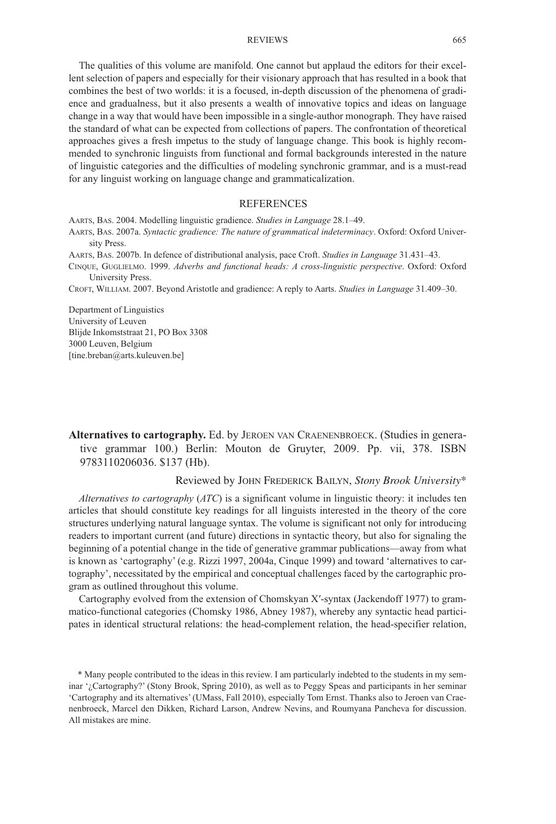#### REVIEWS 665

The qualities of this volume are manifold. One cannot but applaud the editors for their excellent selection of papers and especially for their visionary approach that has resulted in a book that combines the best of two worlds: it is a focused, in-depth discussion of the phenomena of gradience and gradualness, but it also presents a wealth of innovative topics and ideas on language change in a way that would have been impossible in a single-author monograph. They have raised the standard of what can be expected from collections of papers. The confrontation of theoretical approaches gives a fresh impetus to the study of language change. This book is highly recommended to synchronic linguists from functional and formal backgrounds interested in the nature of linguistic categories and the difficulties of modeling synchronic grammar, and is a must-read for any linguist working on language change and grammaticalization.

### REFERENCES

AARTS, BAS. 2004. Modelling linguistic gradience. *Studies in Language* 28.1–49.

AARTS, BAS. 2007a. *Syntactic gradience: The nature of grammatical indeterminacy*. Oxford: Oxford University Press.

AARTS, BAS. 2007b. In defence of distributional analysis, pace Croft. *Studies in Language* 31.431–43.

CINQUE, GUGLIELMO. 1999. *Adverbs and functional heads: A cross-linguistic perspective*. Oxford: Oxford University Press.

CROFT, WILLIAM. 2007. Beyond Aristotle and gradience: A reply to Aarts. *Studies in Language* 31.409–30.

Department of Linguistics University of Leuven Blijde Inkomststraat 21, PO Box 3308 3000 Leuven, Belgium [tine.breban@arts.kuleuven.be]

**Alternatives to cartography.** Ed. by JEROEN VAN CRAENENBROECK. (Studies in generative grammar 100.) Berlin: Mouton de Gruyter, 2009. Pp. vii, 378. ISBN 9783110206036. \$137 (Hb).

Reviewed by JOHN FREDERICK BAILYN, *Stony Brook University*\*

*Alternatives to cartography* (*ATC*) is a significant volume in linguistic theory: it includes ten articles that should constitute key readings for all linguists interested in the theory of the core structures underlying natural language syntax. The volume is significant not only for introducing readers to important current (and future) directions in syntactic theory, but also for signaling the beginning of a potential change in the tide of generative grammar publications—away from what is known as 'cartography' (e.g. Rizzi 1997, 2004a, Cinque 1999) and toward 'alternatives to cartography', necessitated by the empirical and conceptual challenges faced by the cartographic program as outlined throughout this volume.

Cartography evolved from the extension of Chomskyan X′-syntax (Jackendoff 1977) to grammatico-functional categories (Chomsky 1986, Abney 1987), whereby any syntactic head participates in identical structural relations: the head-complement relation, the head-specifier relation,

\* Many people contributed to the ideas in this review. I am particularly indebted to the students in my seminar '¿Cartography?' (Stony Brook, Spring 2010), as well as to Peggy Speas and participants in her seminar 'Cartography and its alternatives' (UMass, Fall 2010), especially Tom Ernst. Thanks also to Jeroen van Craenenbroeck, Marcel den Dikken, Richard Larson, Andrew Nevins, and Roumyana Pancheva for discussion. All mistakes are mine.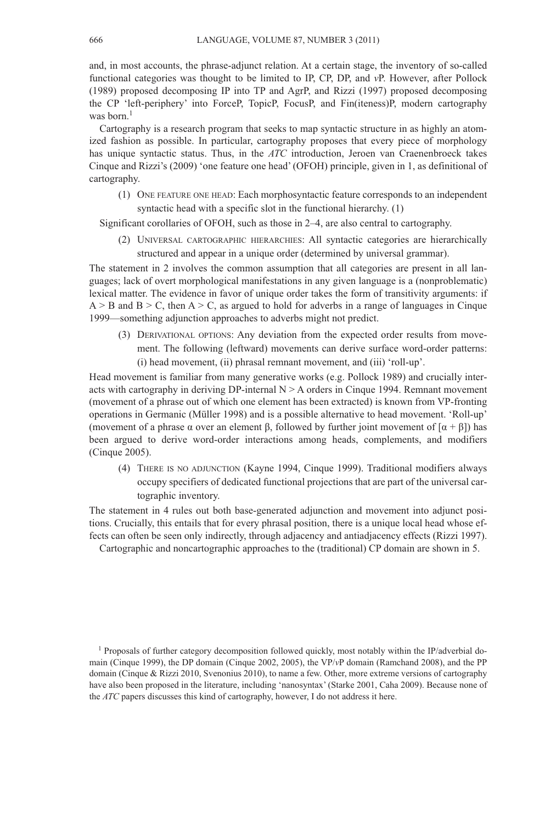and, in most accounts, the phrase-adjunct relation. At a certain stage, the inventory of so-called functional categories was thought to be limited to IP, CP, DP, and *v*P. However, after Pollock (1989) proposed decomposing IP into TP and AgrP, and Rizzi (1997) proposed decomposing the CP 'left-periphery' into ForceP, TopicP, FocusP, and Fin(iteness)P, modern cartography was born. $<sup>1</sup>$ </sup>

Cartography is a research program that seeks to map syntactic structure in as highly an atomized fashion as possible. In particular, cartography proposes that every piece of morphology has unique syntactic status. Thus, in the *ATC* introduction, Jeroen van Craenenbroeck takes Cinque and Rizzi's (2009) 'one feature one head' (OFOH) principle, given in 1, as definitional of cartography.

(1) ONE FEATURE ONE HEAD: Each morphosyntactic feature corresponds to an independent syntactic head with a specific slot in the functional hierarchy. (1)

Significant corollaries of OFOH, such as those in 2–4, are also central to cartography.

(2) UNIVERSAL CARTOGRAPHIC HIERARCHIES: All syntactic categories are hierarchically structured and appear in a unique order (determined by universal grammar).

The statement in 2 involves the common assumption that all categories are present in all languages; lack of overt morphological manifestations in any given language is a (nonproblematic) lexical matter. The evidence in favor of unique order takes the form of transitivity arguments: if  $A > B$  and  $B > C$ , then  $A > C$ , as argued to hold for adverbs in a range of languages in Cinque 1999—something adjunction approaches to adverbs might not predict.

(3) DERIVATIONAL OPTIONS: Any deviation from the expected order results from movement. The following (leftward) movements can derive surface word-order patterns: (i) head movement, (ii) phrasal remnant movement, and (iii) 'roll-up'.

Head movement is familiar from many generative works (e.g. Pollock 1989) and crucially interacts with cartography in deriving DP-internal  $N > A$  orders in Cinque 1994. Remnant movement (movement of a phrase out of which one element has been extracted) is known from VP-fronting operations in Germanic (Müller 1998) and is a possible alternative to head movement. 'Roll-up' (movement of a phrase α over an element β, followed by further joint movement of  $[α + β]$ ) has been argued to derive word-order interactions among heads, complements, and modifiers (Cinque 2005).

(4) THERE IS NO ADJUNCTION (Kayne 1994, Cinque 1999). Traditional modifiers always occupy specifiers of dedicated functional projections that are part of the universal cartographic inventory.

The statement in 4 rules out both base-generated adjunction and movement into adjunct positions. Crucially, this entails that for every phrasal position, there is a unique local head whose effects can often be seen only indirectly, through adjacency and antiadjacency effects (Rizzi 1997).

Cartographic and noncartographic approaches to the (traditional) CP domain are shown in 5.

<sup>&</sup>lt;sup>1</sup> Proposals of further category decomposition followed quickly, most notably within the IP/adverbial domain (Cinque 1999), the DP domain (Cinque 2002, 2005), the VP/*v*P domain (Ramchand 2008), and the PP domain (Cinque & Rizzi 2010, Svenonius 2010), to name a few. Other, more extreme versions of cartography have also been proposed in the literature, including 'nanosyntax' (Starke 2001, Caha 2009). Because none of the *ATC* papers discusses this kind of cartography, however, I do not address it here.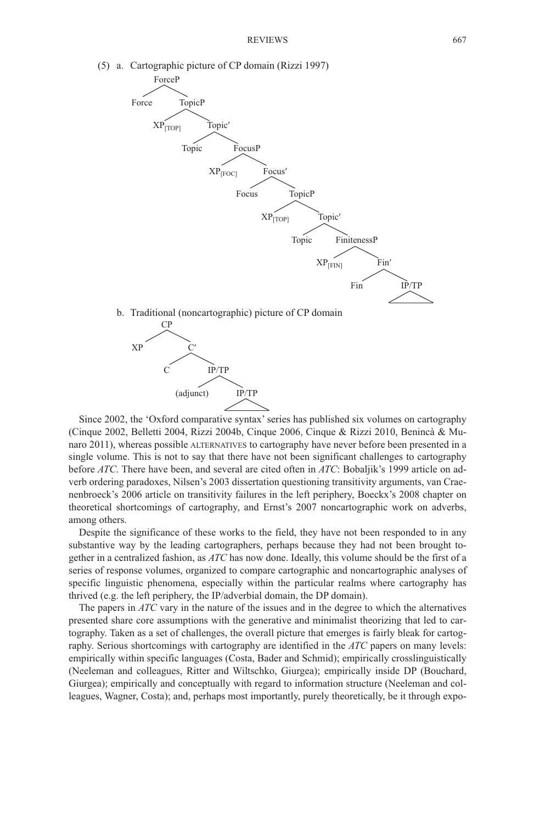

b. Traditional (noncartographic) picture of CP domain



Since 2002, the 'Oxford comparative syntax' series has published six volumes on cartography (Cinque 2002, Belletti 2004, Rizzi 2004b, Cinque 2006, Cinque & Rizzi 2010, Benincà & Munaro 2011), whereas possible ALTERNATIVES to cartography have never before been presented in a single volume. This is not to say that there have not been significant challenges to cartography before *ATC*. There have been, and several are cited often in *ATC*: Bobaljik's 1999 article on adverb ordering paradoxes, Nilsen's 2003 dissertation questioning transitivity arguments, van Craenenbroeck's 2006 article on transitivity failures in the left periphery, Boeckx's 2008 chapter on theoretical shortcomings of cartography, and Ernst's 2007 noncartographic work on adverbs, among others.

Despite the significance of these works to the field, they have not been responded to in any substantive way by the leading cartographers, perhaps because they had not been brought together in a centralized fashion, as *ATC* has now done. Ideally, this volume should be the first of a series of response volumes, organized to compare cartographic and noncartographic analyses of specific linguistic phenomena, especially within the particular realms where cartography has thrived (e.g. the left periphery, the IP/adverbial domain, the DP domain).

The papers in *ATC* vary in the nature of the issues and in the degree to which the alternatives presented share core assumptions with the generative and minimalist theorizing that led to cartography. Taken as a set of challenges, the overall picture that emerges is fairly bleak for cartography. Serious shortcomings with cartography are identified in the *ATC* papers on many levels: empirically within specific languages (Costa, Bader and Schmid); empirically crosslinguistically (Neeleman and colleagues, Ritter and Wiltschko, Giurgea); empirically inside DP (Bouchard, Giurgea); empirically and conceptually with regard to information structure (Neeleman and colleagues, Wagner, Costa); and, perhaps most importantly, purely theoretically, be it through expo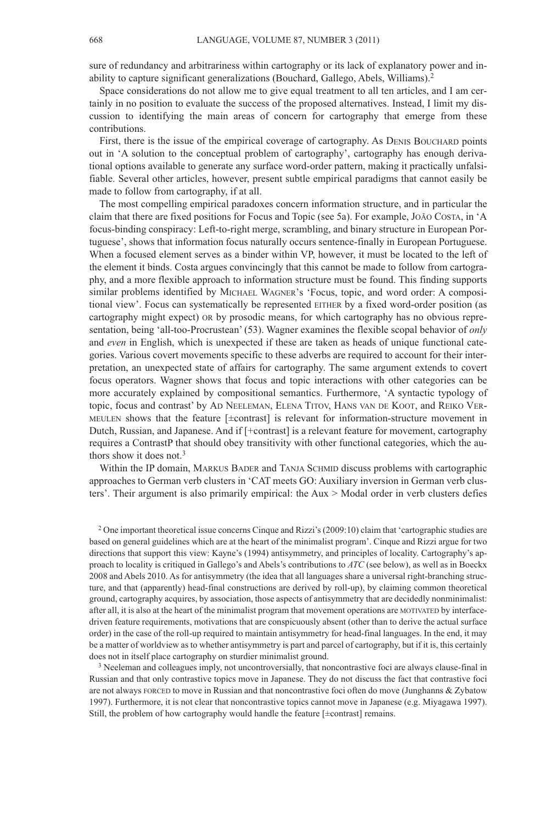sure of redundancy and arbitrariness within cartography or its lack of explanatory power and inability to capture significant generalizations (Bouchard, Gallego, Abels, Williams).2

Space considerations do not allow me to give equal treatment to all ten articles, and I am certainly in no position to evaluate the success of the proposed alternatives. Instead, I limit my discussion to identifying the main areas of concern for cartography that emerge from these contributions.

First, there is the issue of the empirical coverage of cartography. As DENIS BOUCHARD points out in 'A solution to the conceptual problem of cartography', cartography has enough derivational options available to generate any surface word-order pattern, making it practically unfalsifiable. Several other articles, however, present subtle empirical paradigms that cannot easily be made to follow from cartography, if at all.

The most compelling empirical paradoxes concern information structure, and in particular the claim that there are fixed positions for Focus and Topic (see 5a). For example, JOÃO COSTA, in 'A focus-binding conspiracy: Left-to-right merge, scrambling, and binary structure in European Portuguese', shows that information focus naturally occurs sentence-finally in European Portuguese. When a focused element serves as a binder within VP, however, it must be located to the left of the element it binds. Costa argues convincingly that this cannot be made to follow from cartography, and a more flexible approach to information structure must be found. This finding supports similar problems identified by MICHAEL WAGNER's 'Focus, topic, and word order: A compositional view'. Focus can systematically be represented EITHER by a fixed word-order position (as cartography might expect) OR by prosodic means, for which cartography has no obvious representation, being 'all-too-Procrustean' (53). Wagner examines the flexible scopal behavior of *only* and *even* in English, which is unexpected if these are taken as heads of unique functional categories. Various covert movements specific to these adverbs are required to account for their interpretation, an unexpected state of affairs for cartography. The same argument extends to covert focus operators. Wagner shows that focus and topic interactions with other categories can be more accurately explained by compositional semantics. Furthermore, 'A syntactic typology of topic, focus and contrast' by AD NEELEMAN, ELENA TITOV, HANS VAN DE KOOT, and REIKO VER-MEULEN shows that the feature [±contrast] is relevant for information-structure movement in Dutch, Russian, and Japanese. And if [+contrast] is a relevant feature for movement, cartography requires a ContrastP that should obey transitivity with other functional categories, which the authors show it does not.<sup>3</sup>

Within the IP domain, MARKUS BADER and TANJA SCHMID discuss problems with cartographic approaches to German verb clusters in 'CAT meets GO: Auxiliary inversion in German verb clusters'. Their argument is also primarily empirical: the Aux > Modal order in verb clusters defies

<sup>2</sup> One important theoretical issue concerns Cinque and Rizzi's (2009:10) claim that 'cartographic studies are based on general guidelines which are at the heart of the minimalist program'. Cinque and Rizzi argue for two directions that support this view: Kayne's (1994) antisymmetry, and principles of locality. Cartography's approach to locality is critiqued in Gallego's and Abels's contributions to *ATC* (see below), as well as in Boeckx 2008 and Abels 2010. As for antisymmetry (the idea that all languages share a universal right-branching structure, and that (apparently) head-final constructions are derived by roll-up), by claiming common theoretical ground, cartography acquires, by association, those aspects of antisymmetry that are decidedly nonminimalist: after all, it is also at the heart of the minimalist program that movement operations are MOTIVATED by interfacedriven feature requirements, motivations that are conspicuously absent (other than to derive the actual surface order) in the case of the roll-up required to maintain antisymmetry for head-final languages. In the end, it may be a matter of worldview as to whether antisymmetry is part and parcel of cartography, but if it is, this certainly does not in itself place cartography on sturdier minimalist ground.

<sup>3</sup> Neeleman and colleagues imply, not uncontroversially, that noncontrastive foci are always clause-final in Russian and that only contrastive topics move in Japanese. They do not discuss the fact that contrastive foci are not always FORCED to move in Russian and that noncontrastive foci often do move (Junghanns & Zybatow 1997). Furthermore, it is not clear that noncontrastive topics cannot move in Japanese (e.g. Miyagawa 1997). Still, the problem of how cartography would handle the feature [±contrast] remains.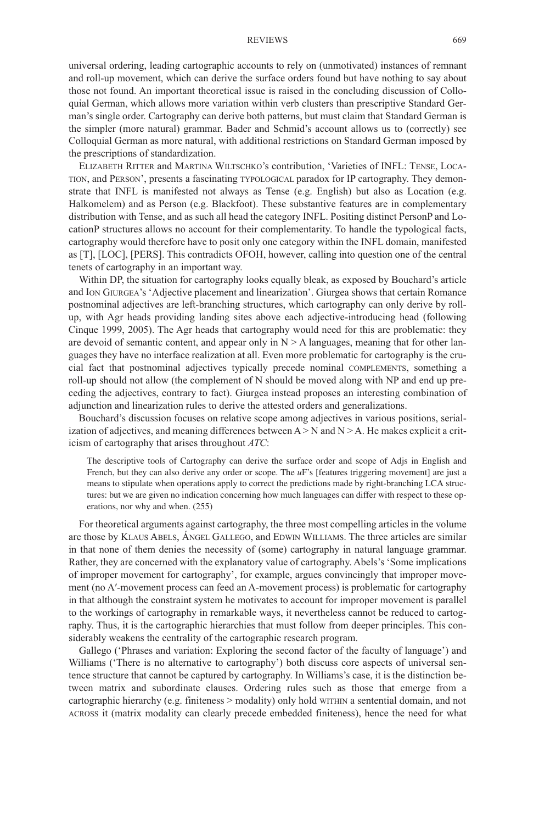#### REVIEWS 669

universal ordering, leading cartographic accounts to rely on (unmotivated) instances of remnant and roll-up movement, which can derive the surface orders found but have nothing to say about those not found. An important theoretical issue is raised in the concluding discussion of Colloquial German, which allows more variation within verb clusters than prescriptive Standard German's single order. Cartography can derive both patterns, but must claim that Standard German is the simpler (more natural) grammar. Bader and Schmid's account allows us to (correctly) see Colloquial German as more natural, with additional restrictions on Standard German imposed by the prescriptions of standardization.

ELIZABETH RITTER and MARTINA WILTSCHKO's contribution, 'Varieties of INFL: TENSE, LOCA-TION, and PERSON', presents a fascinating TYPOLOGICAL paradox for IP cartography. They demonstrate that INFL is manifested not always as Tense (e.g. English) but also as Location (e.g. Halkomelem) and as Person (e.g. Blackfoot). These substantive features are in complementary distribution with Tense, and as such all head the category INFL. Positing distinct PersonP and LocationP structures allows no account for their complementarity. To handle the typological facts, cartography would therefore have to posit only one category within the INFL domain, manifested as [T], [LOC], [PERS]. This contradicts OFOH, however, calling into question one of the central tenets of cartography in an important way.

Within DP, the situation for cartography looks equally bleak, as exposed by Bouchard's article and ION GIURGEA's 'Adjective placement and linearization'. Giurgea shows that certain Romance postnominal adjectives are left-branching structures, which cartography can only derive by rollup, with Agr heads providing landing sites above each adjective-introducing head (following Cinque 1999, 2005). The Agr heads that cartography would need for this are problematic: they are devoid of semantic content, and appear only in  $N > A$  languages, meaning that for other languages they have no interface realization at all. Even more problematic for cartography is the crucial fact that postnominal adjectives typically precede nominal COMPLEMENTS, something a roll-up should not allow (the complement of N should be moved along with NP and end up preceding the adjectives, contrary to fact). Giurgea instead proposes an interesting combination of adjunction and linearization rules to derive the attested orders and generalizations.

Bouchard's discussion focuses on relative scope among adjectives in various positions, serialization of adjectives, and meaning differences between  $A > N$  and  $N > A$ . He makes explicit a criticism of cartography that arises throughout *ATC*:

The descriptive tools of Cartography can derive the surface order and scope of Adjs in English and French, but they can also derive any order or scope. The *uF*'s [features triggering movement] are just a means to stipulate when operations apply to correct the predictions made by right-branching LCA structures: but we are given no indication concerning how much languages can differ with respect to these operations, nor why and when. (255)

For theoretical arguments against cartography, the three most compelling articles in the volume are those by KLAUS ABELS, ÁNGEL GALLEGO, and EDWIN WILLIAMS. The three articles are similar in that none of them denies the necessity of (some) cartography in natural language grammar. Rather, they are concerned with the explanatory value of cartography. Abels's 'Some implications of improper movement for cartography', for example, argues convincingly that improper movement (no A′-movement process can feed an A-movement process) is problematic for cartography in that although the constraint system he motivates to account for improper movement is parallel to the workings of cartography in remarkable ways, it nevertheless cannot be reduced to cartography. Thus, it is the cartographic hierarchies that must follow from deeper principles. This considerably weakens the centrality of the cartographic research program.

Gallego ('Phrases and variation: Exploring the second factor of the faculty of language') and Williams ('There is no alternative to cartography') both discuss core aspects of universal sentence structure that cannot be captured by cartography. In Williams's case, it is the distinction between matrix and subordinate clauses. Ordering rules such as those that emerge from a cartographic hierarchy (e.g. finiteness > modality) only hold WITHIN a sentential domain, and not ACROSS it (matrix modality can clearly precede embedded finiteness), hence the need for what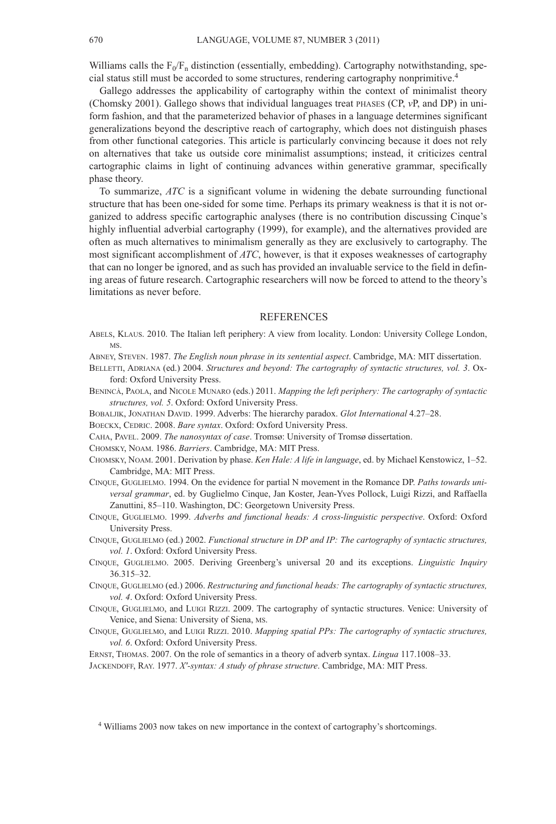Williams calls the  $F_0/F_n$  distinction (essentially, embedding). Cartography notwithstanding, special status still must be accorded to some structures, rendering cartography nonprimitive.4

Gallego addresses the applicability of cartography within the context of minimalist theory (Chomsky 2001). Gallego shows that individual languages treat PHASES (CP, *v*P, and DP) in uniform fashion, and that the parameterized behavior of phases in a language determines significant generalizations beyond the descriptive reach of cartography, which does not distinguish phases from other functional categories. This article is particularly convincing because it does not rely on alternatives that take us outside core minimalist assumptions; instead, it criticizes central cartographic claims in light of continuing advances within generative grammar, specifically phase theory.

To summarize, *ATC* is a significant volume in widening the debate surrounding functional structure that has been one-sided for some time. Perhaps its primary weakness is that it is not organized to address specific cartographic analyses (there is no contribution discussing Cinque's highly influential adverbial cartography (1999), for example), and the alternatives provided are often as much alternatives to minimalism generally as they are exclusively to cartography. The most significant accomplishment of *ATC*, however, is that it exposes weaknesses of cartography that can no longer be ignored, and as such has provided an invaluable service to the field in defining areas of future research. Cartographic researchers will now be forced to attend to the theory's limitations as never before.

## REFERENCES

- ABELS, KLAUS. 2010. The Italian left periphery: A view from locality. London: University College London, MS.
- ABNEY, STEVEN. 1987. *The English noun phrase in its sentential aspect*. Cambridge, MA: MIT dissertation.
- BELLETTI, ADRIANA (ed.) 2004. *Structures and beyond: The cartography of syntactic structures, vol. 3*. Oxford: Oxford University Press.
- BENINCÀ, PAOLA, and NICOLE MUNARO (eds.) 2011. *Mapping the left periphery: The cartography of syntactic structures, vol. 5*. Oxford: Oxford University Press.
- BOBALJIK, JONATHAN DAVID. 1999. Adverbs: The hierarchy paradox. *Glot International* 4.27–28.
- BOECKX, CEDRIC. 2008. *Bare syntax*. Oxford: Oxford University Press.
- CAHA, PAVEL. 2009. *The nanosyntax of case*. Tromsø: University of Tromsø dissertation.
- CHOMSKY, NOAM. 1986. *Barriers*. Cambridge, MA: MIT Press.
- CHOMSKY, NOAM. 2001. Derivation by phase. *Ken Hale: A life in language*, ed. by Michael Kenstowicz, 1–52. Cambridge, MA: MIT Press.
- CINQUE, GUGLIELMO. 1994. On the evidence for partial N movement in the Romance DP. *Paths towards universal grammar*, ed. by Guglielmo Cinque, Jan Koster, Jean-Yves Pollock, Luigi Rizzi, and Raffaella Zanuttini, 85–110. Washington, DC: Georgetown University Press.
- CINQUE, GUGLIELMO. 1999. *Adverbs and functional heads: A cross-linguistic perspective*. Oxford: Oxford University Press.
- CINQUE, GUGLIELMO (ed.) 2002. *Functional structure in DP and IP: The cartography of syntactic structures, vol. 1*. Oxford: Oxford University Press.
- CINQUE, GUGLIELMO. 2005. Deriving Greenberg's universal 20 and its exceptions. *Linguistic Inquiry* 36.315–32.
- CINQUE, GUGLIELMO (ed.) 2006. *Restructuring and functional heads: The cartography of syntactic structures, vol. 4*. Oxford: Oxford University Press.
- CINQUE, GUGLIELMO, and LUIGI RIZZI. 2009. The cartography of syntactic structures. Venice: University of Venice, and Siena: University of Siena, MS.
- CINQUE, GUGLIELMO, and LUIGI RIZZI. 2010. *Mapping spatial PPs: The cartography of syntactic structures, vol. 6*. Oxford: Oxford University Press.

ERNST, THOMAS. 2007. On the role of semantics in a theory of adverb syntax. *Lingua* 117.1008–33. JACKENDOFF, RAY. 1977. *X′-syntax: A study of phrase structure*. Cambridge, MA: MIT Press.

<sup>4</sup> Williams 2003 now takes on new importance in the context of cartography's shortcomings.